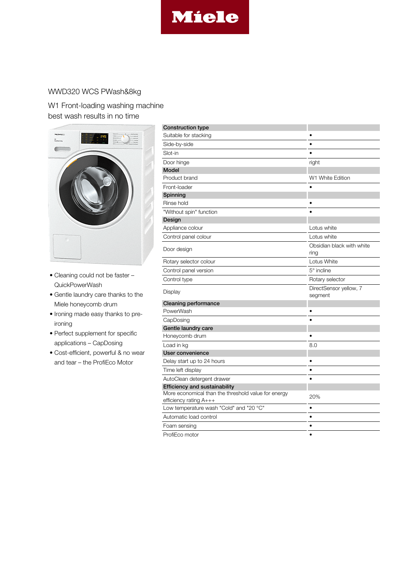

## WWD320 WCS PWash&8kg

W1 Front-loading washing machine best wash results in no time



- Cleaning could not be faster QuickPowerWash
- Gentle laundry care thanks to the Miele honeycomb drum
- Ironing made easy thanks to preironing
- Perfect supplement for specific applications – CapDosing
- Cost-efficient, powerful & no wear and tear – the ProfiEco Motor

| <b>Construction type</b>                                                      |                                   |
|-------------------------------------------------------------------------------|-----------------------------------|
| Suitable for stacking                                                         |                                   |
| Side-by-side                                                                  |                                   |
| Slot-in                                                                       |                                   |
| Door hinge                                                                    | right                             |
| <b>Model</b>                                                                  |                                   |
| Product brand                                                                 | W1 White Edition                  |
| Front-loader                                                                  |                                   |
| Spinning                                                                      |                                   |
| Rinse hold                                                                    |                                   |
| "Without spin" function                                                       |                                   |
| Design                                                                        |                                   |
| Appliance colour                                                              | Lotus white                       |
| Control panel colour                                                          | Lotus white                       |
| Door design                                                                   | Obsidian black with white<br>ring |
| Rotary selector colour                                                        | Lotus White                       |
| Control panel version                                                         | $5^\circ$ incline                 |
| Control type                                                                  | Rotary selector                   |
| Display                                                                       | DirectSensor yellow, 7<br>segment |
| <b>Cleaning performance</b>                                                   |                                   |
| <b>PowerWash</b>                                                              |                                   |
| CapDosing                                                                     |                                   |
| Gentle laundry care                                                           |                                   |
| Honeycomb drum                                                                |                                   |
| Load in kg                                                                    | 8.0                               |
| User convenience                                                              |                                   |
| Delay start up to 24 hours                                                    |                                   |
| Time left display                                                             | $\bullet$                         |
| AutoClean detergent drawer                                                    |                                   |
| <b>Efficiency and sustainability</b>                                          |                                   |
| More economical than the threshold value for energy<br>efficiency rating A+++ | 20%                               |
| Low temperature wash "Cold" and "20 °C"                                       | $\bullet$                         |
| Automatic load control                                                        | $\bullet$                         |
| Foam sensing                                                                  | $\bullet$                         |
| ProfiEco motor                                                                | $\bullet$                         |